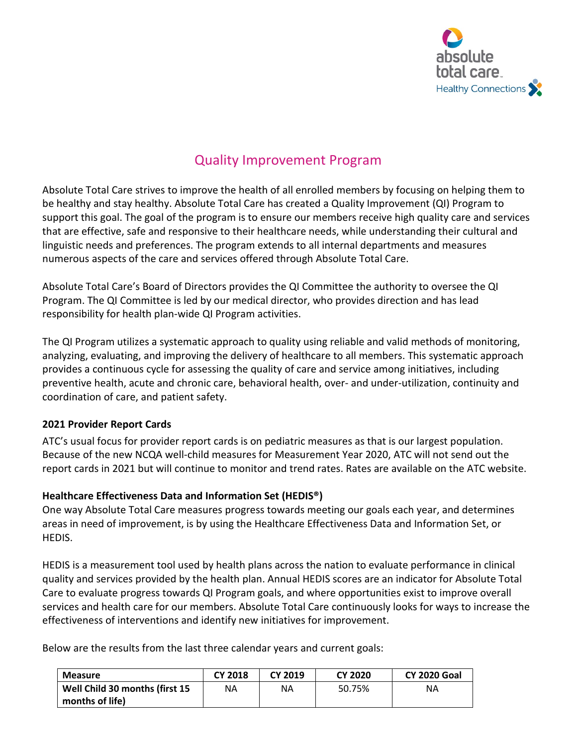

# Quality Improvement Program

Absolute Total Care strives to improve the health of all enrolled members by focusing on helping them to be healthy and stay healthy. Absolute Total Care has created a Quality Improvement (QI) Program to support this goal. The goal of the program is to ensure our members receive high quality care and services that are effective, safe and responsive to their healthcare needs, while understanding their cultural and linguistic needs and preferences. The program extends to all internal departments and measures numerous aspects of the care and services offered through Absolute Total Care.

Absolute Total Care's Board of Directors provides the QI Committee the authority to oversee the QI Program. The QI Committee is led by our medical director, who provides direction and has lead responsibility for health plan-wide QI Program activities.

The QI Program utilizes a systematic approach to quality using reliable and valid methods of monitoring, analyzing, evaluating, and improving the delivery of healthcare to all members. This systematic approach provides a continuous cycle for assessing the quality of care and service among initiatives, including preventive health, acute and chronic care, behavioral health, over- and under-utilization, continuity and coordination of care, and patient safety.

#### **2021 Provider Report Cards**

ATC's usual focus for provider report cards is on pediatric measures as that is our largest population. Because of the new NCQA well-child measures for Measurement Year 2020, ATC will not send out the report cards in 2021 but will continue to monitor and trend rates. Rates are available on the ATC website.

#### **Healthcare Effectiveness Data and Information Set (HEDIS®)**

One way Absolute Total Care measures progress towards meeting our goals each year, and determines areas in need of improvement, is by using the Healthcare Effectiveness Data and Information Set, or HEDIS.

HEDIS is a measurement tool used by health plans across the nation to evaluate performance in clinical quality and services provided by the health plan. Annual HEDIS scores are an indicator for Absolute Total Care to evaluate progress towards QI Program goals, and where opportunities exist to improve overall services and health care for our members. Absolute Total Care continuously looks for ways to increase the effectiveness of interventions and identify new initiatives for improvement.

Below are the results from the last three calendar years and current goals:

| <b>Measure</b>                 | <b>CY 2018</b> | <b>CY 2019</b> | <b>CY 2020</b> | <b>CY 2020 Goal</b> |
|--------------------------------|----------------|----------------|----------------|---------------------|
| Well Child 30 months (first 15 | ΝA             | ΝA             | 50.75%         | ΝA                  |
| months of life)                |                |                |                |                     |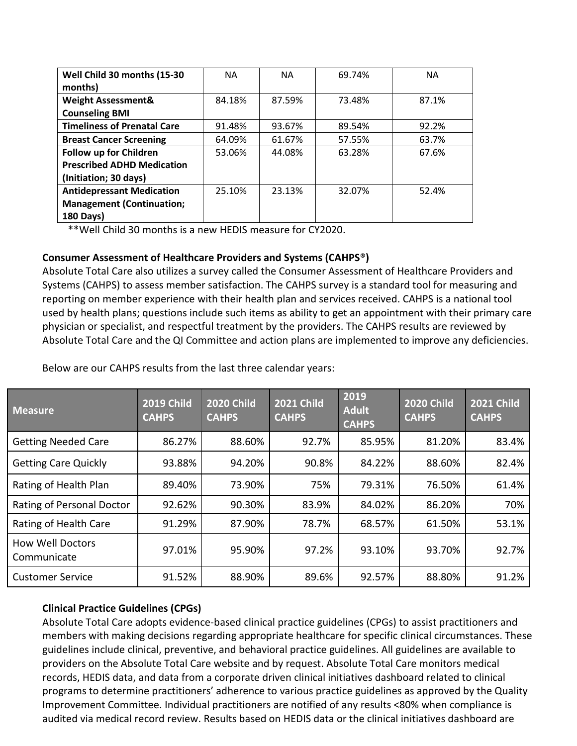| Well Child 30 months (15-30        | <b>NA</b> | <b>NA</b> | 69.74% | <b>NA</b> |
|------------------------------------|-----------|-----------|--------|-----------|
| months)                            |           |           |        |           |
| <b>Weight Assessment&amp;</b>      | 84.18%    | 87.59%    | 73.48% | 87.1%     |
| <b>Counseling BMI</b>              |           |           |        |           |
| <b>Timeliness of Prenatal Care</b> | 91.48%    | 93.67%    | 89.54% | 92.2%     |
| <b>Breast Cancer Screening</b>     | 64.09%    | 61.67%    | 57.55% | 63.7%     |
| Follow up for Children             | 53.06%    | 44.08%    | 63.28% | 67.6%     |
| <b>Prescribed ADHD Medication</b>  |           |           |        |           |
| (Initiation; 30 days)              |           |           |        |           |
| <b>Antidepressant Medication</b>   | 25.10%    | 23.13%    | 32.07% | 52.4%     |
| <b>Management (Continuation;</b>   |           |           |        |           |
| <b>180 Days)</b>                   |           |           |        |           |

\*\*Well Child 30 months is a new HEDIS measure for CY2020.

#### **Consumer Assessment of Healthcare Providers and Systems (CAHPS**®**)**

Absolute Total Care also utilizes a survey called the Consumer Assessment of Healthcare Providers and Systems (CAHPS) to assess member satisfaction. The CAHPS survey is a standard tool for measuring and reporting on member experience with their health plan and services received. CAHPS is a national tool used by health plans; questions include such items as ability to get an appointment with their primary care physician or specialist, and respectful treatment by the providers. The CAHPS results are reviewed by Absolute Total Care and the QI Committee and action plans are implemented to improve any deficiencies.

| <b>Measure</b>                         | <b>2019 Child</b><br><b>CAHPS</b> | <b>2020 Child</b><br><b>CAHPS</b> | <b>2021 Child</b><br><b>CAHPS</b> | 2019<br><b>Adult</b><br><b>CAHPS</b> | <b>2020 Child</b><br><b>CAHPS</b> | <b>2021 Child</b><br><b>CAHPS</b> |
|----------------------------------------|-----------------------------------|-----------------------------------|-----------------------------------|--------------------------------------|-----------------------------------|-----------------------------------|
| <b>Getting Needed Care</b>             | 86.27%                            | 88.60%                            | 92.7%                             | 85.95%                               | 81.20%                            | 83.4%                             |
| <b>Getting Care Quickly</b>            | 93.88%                            | 94.20%                            | 90.8%                             | 84.22%                               | 88.60%                            | 82.4%                             |
| Rating of Health Plan                  | 89.40%                            | 73.90%                            | 75%                               | 79.31%                               | 76.50%                            | 61.4%                             |
| Rating of Personal Doctor              | 92.62%                            | 90.30%                            | 83.9%                             | 84.02%                               | 86.20%                            | 70%                               |
| Rating of Health Care                  | 91.29%                            | 87.90%                            | 78.7%                             | 68.57%                               | 61.50%                            | 53.1%                             |
| <b>How Well Doctors</b><br>Communicate | 97.01%                            | 95.90%                            | 97.2%                             | 93.10%                               | 93.70%                            | 92.7%                             |
| <b>Customer Service</b>                | 91.52%                            | 88.90%                            | 89.6%                             | 92.57%                               | 88.80%                            | 91.2%                             |

Below are our CAHPS results from the last three calendar years:

## **Clinical Practice Guidelines (CPGs)**

Absolute Total Care adopts evidence-based clinical practice guidelines (CPGs) to assist practitioners and members with making decisions regarding appropriate healthcare for specific clinical circumstances. These guidelines include clinical, preventive, and behavioral practice guidelines. All guidelines are available to providers on the Absolute Total Care website and by request. Absolute Total Care monitors medical records, HEDIS data, and data from a corporate driven clinical initiatives dashboard related to clinical programs to determine practitioners' adherence to various practice guidelines as approved by the Quality Improvement Committee. Individual practitioners are notified of any results <80% when compliance is audited via medical record review. Results based on HEDIS data or the clinical initiatives dashboard are